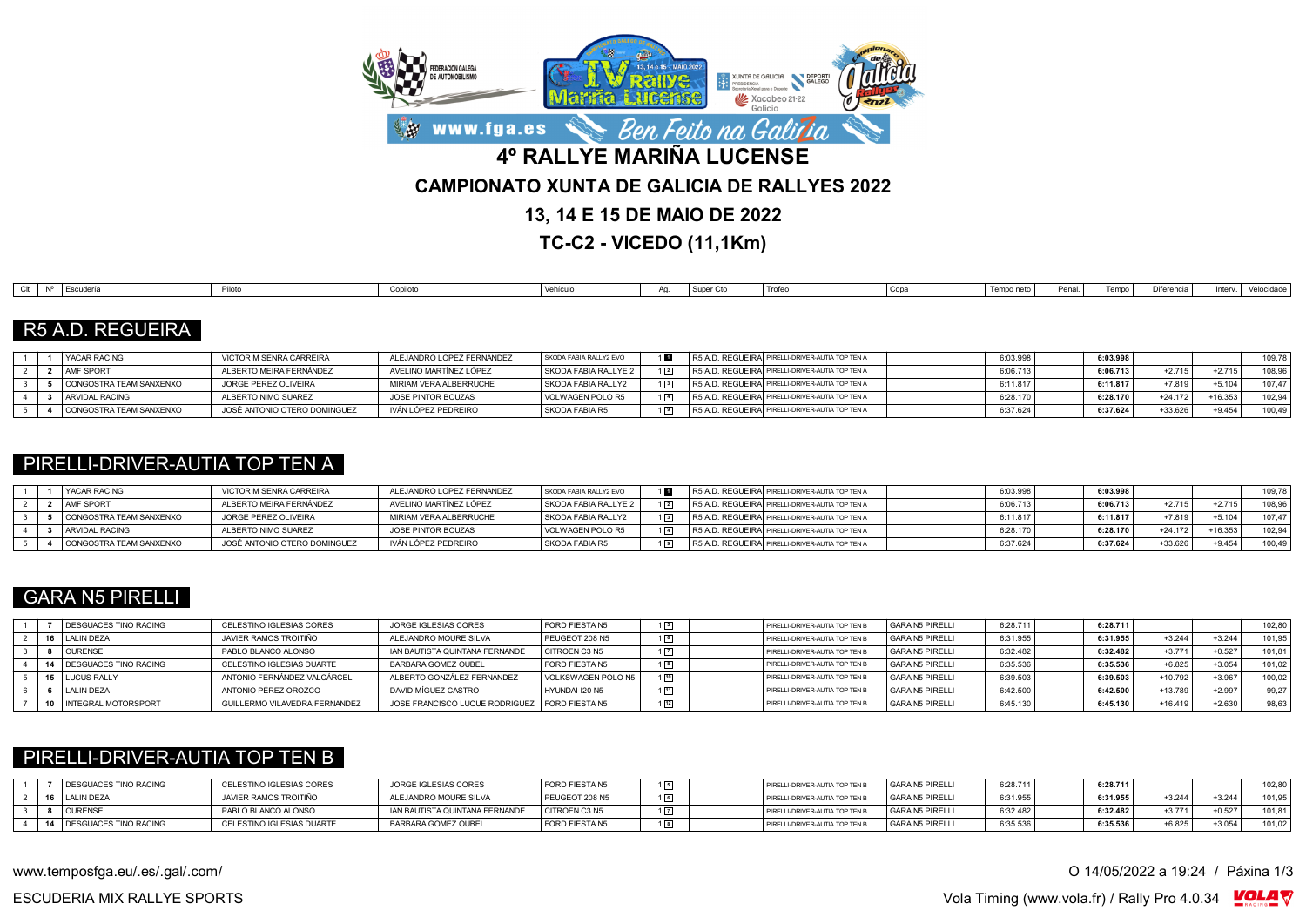

**TC-C2 - VICEDO (11,1Km)**

| $\sim$ 10 | `   Escuderia | Dilate.<br>ню | Conilot<br><b>OUNING</b> | Vehículo | . .<br>' Super v | Trofer<br> | Copa | Tempo neto | Penal | Tempo | Difer<br> | Inter | velocidade, |
|-----------|---------------|---------------|--------------------------|----------|------------------|------------|------|------------|-------|-------|-----------|-------|-------------|

### R5 A.D. REGUEIRA

|  | <b>I YACAR RACING</b>   | VICTOR M SENRA CARREIRA      | ALEJANDRO LOPEZ FERNANDEZ | SKODA FABIA RALLY2 EVO |  | R5 A.D. REGUEIRAI PIRELLI-DRIVER-AUTIA TOP TEN A | 6:03.998 | 6:03.998 |           |           | 109,78 |
|--|-------------------------|------------------------------|---------------------------|------------------------|--|--------------------------------------------------|----------|----------|-----------|-----------|--------|
|  | <b>AMF SPORT</b>        | ALBERTO MEIRA FERNÁNDEZ      | AVELINO MARTÍNEZ LÓPEZ    | SKODA FABIA RALLYE 2   |  | R5 A.D. REGUEIRA PIRELLI-DRIVER-AUTIA TOP TEN A  | 6:06.713 | 6:06.713 | $+2.715$  | $+2.715$  | 108.96 |
|  | CONGOSTRA TEAM SANXENXO | JORGE PEREZ OLIVEIRA         | MIRIAM VERA ALBERRUCHE    | SKODA FABIA RALLY2     |  | R5 A.D. REGUEIRAI PIRELLI-DRIVER-AUTIA TOP TEN A | 6:11.81  | 6:11.817 | $+7.819$  | $+5.104$  | 107.47 |
|  | <b>ARVIDAL RACING</b>   | ALBERTO NIMO SUAREZ          | JOSE PINTOR BOUZAS        | VOLWAGEN POLO R5       |  | R5 A.D. REGUEIRAI PIRELLI-DRIVER-AUTIA TOP TEN A | 6:28.170 | 6:28.170 | $+24.172$ | $-16.353$ | 102.94 |
|  | CONGOSTRA TEAM SANXENXO | JOSÉ ANTONIO OTERO DOMINGUEZ | IVÁN LÓPEZ PEDREIRO       | SKODA FABIA R5         |  | R5 A.D. REGUEIRA PIRELLI-DRIVER-AUTIA TOP TEN A  | 3:37.624 | 6:37.624 | +33.626   | $+9.454$  | 100,49 |

### PIRELLI-DRIVER-AUTIA TOP TEN A

|  | <b>YACAR RACING</b>     | VICTOR M SENRA CARREIRA      | ALEJANDRO LOPEZ FERNANDEZ | SKODA FABIA RALLY2 EVO |             | R5 A.D. REGUEIRA PIRELLI-DRIVER-AUTIA TOP TEN A | 6:03.998 | 6:03.998 |           |          | 109.78 |
|--|-------------------------|------------------------------|---------------------------|------------------------|-------------|-------------------------------------------------|----------|----------|-----------|----------|--------|
|  | <b>AMF SPORT</b>        | ALBERTO MEIRA FERNÁNDEZ      | AVELINO MARTÍNEZ LÓPEZ    | SKODA FABIA RALLYE 2   | $1\sqrt{2}$ | R5 A.D. REGUEIRA PIRELLI-DRIVER-AUTIA TOP TEN A | 6:06.713 | 6:06.713 | $+2.715$  | $+2.715$ | 108.96 |
|  | CONGOSTRA TEAM SANXENXO | JORGE PEREZ OLIVEIRA         | MIRIAM VERA ALBERRUCHE    | SKODA FABIA RALLY2     | $1\sqrt{3}$ | R5 A.D. REGUEIRA PIRELLI-DRIVER-AUTIA TOP TEN A | 6:11.81  | 6:11.817 | $+7.819$  | $+5.104$ | 107.47 |
|  | ARVIDAL RACING          | ALBERTO NIMO SUAREZ          | JOSE PINTOR BOUZAS        | VOLWAGEN POLO R5       | $1\sqrt{4}$ | R5 A.D. REGUEIRA PIRELLI-DRIVER-AUTIA TOP TEN A | 6:28.170 | 6:28.170 | $+24.172$ | +16.353  | 102.94 |
|  | CONGOSTRA TEAM SANXENXO | JOSÉ ANTONIO OTERO DOMINGUEZ | IVÁN LÓPEZ PEDREIRO       | l SKODA FABIA R5       | $1\sqrt{9}$ | R5 A.D. REGUEIRA PIRELLI-DRIVER-AUTIA TOP TEN A | 6:37.62  | 6:37.624 | +33.626   | $+9.454$ | 100,49 |

### GARA N5 PIRELLI

|  | <b>DESGUACES TINO RACING</b> | CELESTINO IGLESIAS CORES      | JORGE IGLESIAS CORES                            | <b>FORD FIESTA N5</b> |             | PIRELLI-DRIVER-AUTIA TOP TEN B | GARA N5 PIRELLI | 6:28.711 | 6:28.711 |           |          | 102.80 |
|--|------------------------------|-------------------------------|-------------------------------------------------|-----------------------|-------------|--------------------------------|-----------------|----------|----------|-----------|----------|--------|
|  | LALIN DEZA                   | JAVIER RAMOS TROITIÑO         | ALEJANDRO MOURE SILVA                           | PEUGEOT 208 N5        |             | PIRELLI-DRIVER-AUTIA TOP TEN B | GARA N5 PIRELLI | 6:31.955 | 6:31.955 | $+3.244$  | $+3.244$ | 101.95 |
|  | <b>OURENSE</b>               | PABLO BLANCO ALONSO           | IAN BAUTISTA QUINTANA FERNANDE                  | CITROEN C3 N5         |             | PIRELLI-DRIVER-AUTIA TOP TEN B | GARA N5 PIRELLI | 6:32.482 | 6:32.482 | $+3.771$  | $+0.527$ | 101.81 |
|  | <b>DESGUACES TINO RACING</b> | CELESTINO IGLESIAS DUARTE     | BARBARA GOMEZ OUBEL                             | <b>FORD FIESTA N5</b> |             | PIRELLI-DRIVER-AUTIA TOP TEN B | GARA N5 PIRELLI | 6:35.536 | 6:35.536 | $+6.825$  | $+3.054$ | 101.02 |
|  | <b>LUCUS RALLY</b>           | ANTONIO FERNÁNDEZ VALCÁRCEL   | ALBERTO GONZÁLEZ FERNÁNDEZ                      | VOLKSWAGEN POLO N5    | 10          | PIRELLI-DRIVER-AUTIA TOP TEN B | GARA N5 PIRELLI | 6:39.503 | 6:39.503 | +10.792   | $+3.967$ | 100.02 |
|  | LALIN DEZA                   | ANTONIO PÉREZ OROZCO          | DAVID MÍGUEZ CASTRO                             | HYUNDAI I20 N5        | $\sqrt{11}$ | PIRELLI-DRIVER-AUTIA TOP TEN B | GARA N5 PIRELLI | 6:42.500 | 6:42.500 | +13.789   | $+2.997$ | 99.27  |
|  | <b>INTEGRAL MOTORSPORT</b>   | GUILLERMO VILAVEDRA FERNANDEZ | JOSE FRANCISCO LUQUE RODRIGUEZ   FORD FIESTA N5 |                       |             | PIRELLI-DRIVER-AUTIA TOP TEN B | GARA N5 PIRELLI | 6:45.130 | 6:45.130 | $+16.419$ | $+2.630$ | 98,63  |

### PIRELLI-DRIVER-AUTIA TOP TEN B

|  | DESGUACES TINO RACING      | CELESTINO IGLESIAS CORES  | JORGE IGLESIAS CORES           | <b>FORD FIESTA N5</b> | PIRELLI-DRIVER-AUTIA TOP TEN B | GARA N5 PIRELLI | 6:28.711 | 6:28.711 |          |          | 102,80 |
|--|----------------------------|---------------------------|--------------------------------|-----------------------|--------------------------------|-----------------|----------|----------|----------|----------|--------|
|  | 16 LALIN DEZA              | JAVIER RAMOS TROITIÑO     | ALEJANDRO MOURE SILVA          | PEUGEOT 208 N5        | PIRELLI-DRIVER-AUTIA TOP TEN B | GARA N5 PIRELLI | 6:31.955 | 6:31.955 | $+3.244$ | $+3.244$ | 101.95 |
|  | <b>OURENSE</b>             | PABLO BLANCO ALONSO       | IAN BAUTISTA QUINTANA FERNANDE | CITROEN C3 N5         | PIRELLI-DRIVER-AUTIA TOP TEN B | GARA N5 PIRELLI | 6:32.482 | 6:32.482 | $+3771$  | $+0.527$ | 101.81 |
|  | 14   DESGUACES TINO RACING | CELESTINO IGLESIAS DUARTE | BARBARA GOMEZ OUBEL            | <b>FORD FIESTA N5</b> | PIRELLI-DRIVER-AUTIA TOP TEN B | GARA N5 PIRELLI | 6:35.53  | 6:35.536 | $-6.825$ | $+3.054$ | 101.02 |

www.temposfga.eu/.es/.gal/.com/ **O 14/05/2022** a 19:24 / Páxina 1/3

VolaSoftControlPdf ESCUDERIA MIX RALLYE SPORTS Vola Timing (www.vola.fr) / Rally Pro 4.0.34

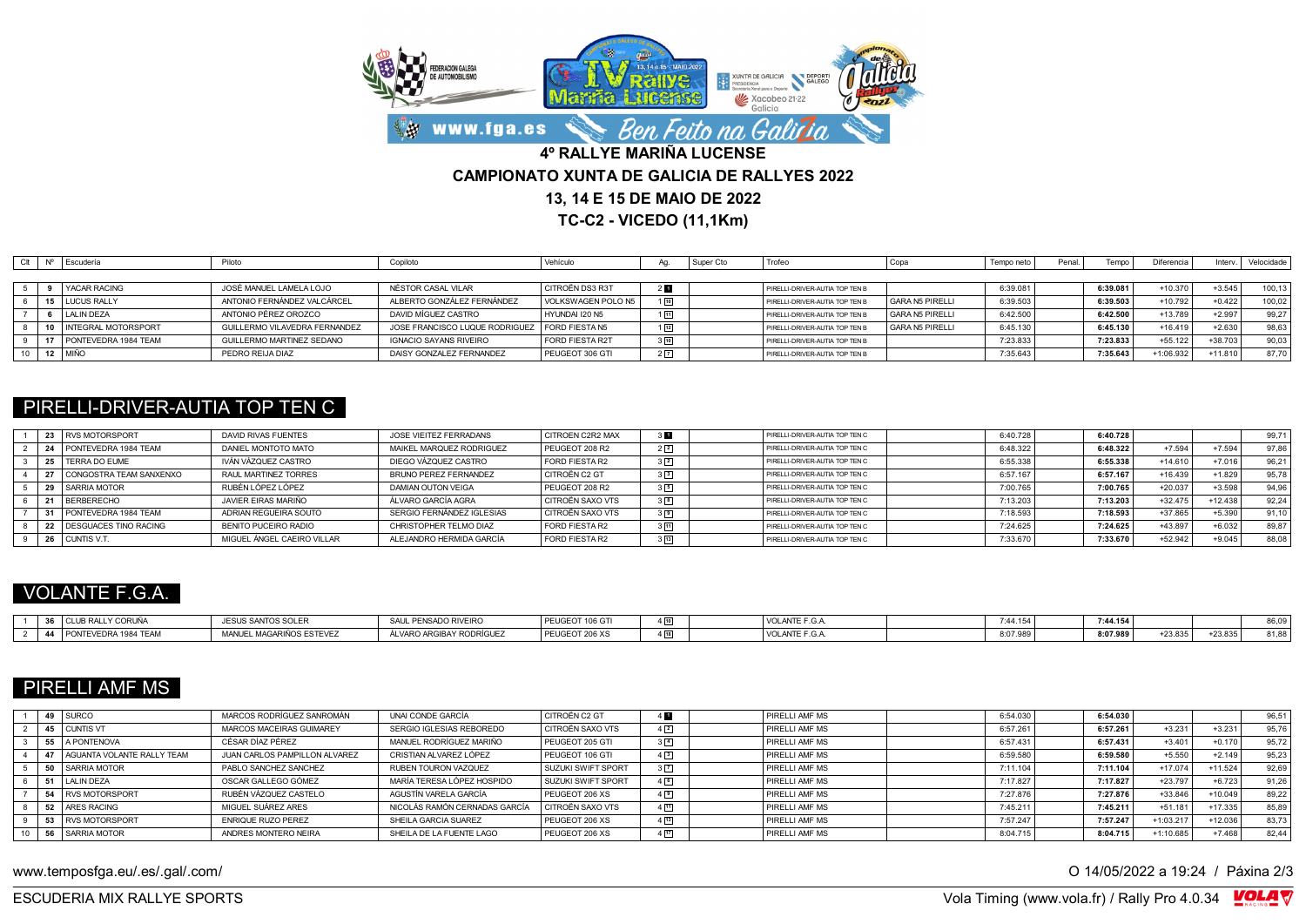

**TC-C2 - VICEDO (11,1Km)**

| Clt | Nº Escudería            | Piloto                        | Copiloto                       | Vehículo           |                | I Super Cto | Trofeo                         |                 | Tempo neto | Penal | Tempo    | Diferencia | Interv.   | Velocidade |
|-----|-------------------------|-------------------------------|--------------------------------|--------------------|----------------|-------------|--------------------------------|-----------------|------------|-------|----------|------------|-----------|------------|
|     |                         |                               |                                |                    |                |             |                                |                 |            |       |          |            |           |            |
|     | <b>YACAR RACING</b>     | JOSÉ MANUEL LAMELA LOJO       | NÉSTOR CASAL VILAR             | CITROËN DS3 R3T    | 20             |             | PIRELLI-DRIVER-AUTIA TOP TEN B |                 | 6:39.081   |       | 6:39.081 | $+10.370$  | $+3.545$  | 100.13     |
|     | 15 LUCUS RALLY          | ANTONIO FERNÁNDEZ VALCÁRCEL   | ALBERTO GONZÁLEZ FERNÁNDEZ     | VOLKSWAGEN POLO N5 | $1\sqrt{10}$   |             | PIRELLI-DRIVER-AUTIA TOP TEN B | GARA N5 PIRELLI | 6:39.503   |       | 6:39.503 | $+10.792$  | $+0.422$  | 100.02     |
|     | LALIN DEZA              | ANTONIO PÉREZ OROZCO          | DAVID MÍGUEZ CASTRO            | HYUNDAI I20 N5     | 団              |             | PIRELLI-DRIVER-AUTIA TOP TEN B | GARA N5 PIRELLI | 6:42.500   |       | 6:42.500 | +13.789    | $+2.997$  | 99,27      |
|     | 10 INTEGRAL MOTORSPORT  | GUILLERMO VILAVEDRA FERNANDEZ | JOSE FRANCISCO LUQUE RODRIGUEZ | FORD FIESTA N5     | $\sqrt{12}$    |             | PIRELLI-DRIVER-AUTIA TOP TEN B | GARA N5 PIRELLI | 6:45.130   |       | 6:45.130 | $+16.419$  | $+2.630$  | 98,63      |
|     | 17 PONTEVEDRA 1984 TEAM | GUILLERMO MARTINEZ SEDANO     | <b>IGNACIO SAYANS RIVEIRO</b>  | FORD FIESTA R2T    | $3\sqrt{10}$   |             | PIRELLI-DRIVER-AUTIA TOP TEN B |                 | 7:23.833   |       | 7:23.833 | $+55.122$  | $+38.703$ | 90.03      |
|     | 12 MIÑO                 | PEDRO REIJA DIAZ              | DAISY GONZALEZ FERNANDEZ       | PEUGEOT 306 GTI    | 2 <sup>7</sup> |             | PIRELLI-DRIVER-AUTIA TOP TEN B |                 | 7:35.643   |       | 7:35.643 | +1:06.932  | $+11.810$ | 87.70      |

### PIRELLI-DRIVER-AUTIA TOP TEN C

|  | 23 RVS MOTORSPORT          | DAVID RIVAS FUENTES        | JOSE VIEITEZ FERRADANS    | <b>CITROEN C2R2 MAX</b> |                | PIRELLI-DRIVER-AUTIA TOP TEN C | 6:40.728 | 6:40.728 |           |           | 99,71 |
|--|----------------------------|----------------------------|---------------------------|-------------------------|----------------|--------------------------------|----------|----------|-----------|-----------|-------|
|  | 24 PONTEVEDRA 1984 TEAM    | DANIEL MONTOTO MATO        | MAIKEL MARQUEZ RODRIGUEZ  | PEUGEOT 208 R2          | $2\sqrt{2}$    | PIRELLI-DRIVER-AUTIA TOP TEN C | 6:48.322 | 6:48.322 | $+7.594$  | $+7.594$  | 97.86 |
|  | 25   TERRA DO EUME         | IVÁN VÁZQUEZ CASTRO        | DIEGO VÁZQUEZ CASTRO      | FORD FIESTA R2          | $3\sqrt{2}$    | PIRELLI-DRIVER-AUTIA TOP TEN C | 6:55.338 | 6:55.338 | $+14.610$ | $+7.016$  | 96,21 |
|  | 27 CONGOSTRA TEAM SANXENXO | RAUL MARTINEZ TORRES       | BRUNO PEREZ FERNANDEZ     | CITROËN C2 GT           | 3 <sup>2</sup> | PIRELLI-DRIVER-AUTIA TOP TEN C | 6:57.167 | 6:57.167 | $+16.439$ | $+1.829$  | 95,78 |
|  | 29 SARRIA MOTOR            | RUBÉN LÓPEZ LÓPEZ          | DAMIAN OUTON VEIGA        | PEUGEOT 208 R2          | 35             | PIRELLI-DRIVER-AUTIA TOP TEN C | 7:00.765 | 7:00.765 | $+20.037$ | $+3.598$  | 94.96 |
|  | 21 BERBERECHO              | JAVIER FIRAS MARIÑO        | ÁLVARO GARCÍA AGRA        | CITROËN SAXO VTS        | 328            | PIRELL-DRIVER-AUTIA TOP TEN C  | 7:13.203 | 7:13.203 | $+32.475$ | $+12.438$ | 92.24 |
|  | 31 PONTEVEDRA 1984 TEAM    | ADRIAN REGUEIRA SOUTO      | SERGIO FERNÁNDEZ IGLESIAS | CITROËN SAXO VTS        | $3\sqrt{8}$    | PIRELLI-DRIVER-AUTIA TOP TEN C | 7:18.593 | 7:18.593 | $+37.865$ | $+5.390$  | 91.10 |
|  | 22 DESGUACES TINO RACING   | BENITO PUCEIRO RADIO       | CHRISTOPHER TELMO DIAZ    | FORD FIESTA R2          | $3 - 11$       | PIRELLI-DRIVER-AUTIA TOP TEN C | 7:24.625 | 7:24.625 | +43.897   | $+6.032$  | 89,87 |
|  | 26 CUNTIS V.T.             | MIGUEL ÁNGEL CAEIRO VILLAR | ALEJANDRO HERMIDA GARCÍA  | FORD FIESTA R2          | $3 \sqrt{13}$  | PIRELLI-DRIVER-AUTIA TOP TEN C | 7:33.670 | 7:33.670 | $+52.942$ | $+9.045$  | 88,08 |

## VOLANTE F.G.A.

| RALLY CORUÑA<br>$20 - 101$<br><u>vv</u>          | $5.001$ mm <sup>2</sup><br><b>ULOUS SAMP</b><br>SANIUS SULEI | L PENSADO RIVEIRO<br><b>SAIL</b>                      | PEUGEOT 106 GT | $\overline{\phantom{a}}$     | VOLANTE F.G.,                                              | 7:44.15/ | 7:44.154 |         |                   |       |
|--------------------------------------------------|--------------------------------------------------------------|-------------------------------------------------------|----------------|------------------------------|------------------------------------------------------------|----------|----------|---------|-------------------|-------|
| PONTEVEDRA 1984 TEAM<br>$\overline{\phantom{a}}$ | L MAGARIÑOS ESTEVEZ<br><b>MANII</b><br>ירש איטי              | ÁLVARO ARGIB<br>$- - - - - - - -$<br>ייר AY RODRIGULL | PEUGEOT 206 XS | <br>$\overline{\phantom{a}}$ | $\sim$ $\sim$ $\sim$ $\sim$ $\sim$ $\sim$<br>VOLANIE F.G., | 8:07.989 | 8:07.989 | +23.835 | 0.0000<br>-23.835 | 81,88 |

# PIRELLI AMF MS

|  | 49 SURCO                        | MARCOS RODRÍGUEZ SANROMÁN     | UNAI CONDE GARCÍA             | CITROËN C2 GT             | 4 D               | PIRELLI AMF MS        | 6:54.030     | 6:54.030 |             |           | 96,51 |
|--|---------------------------------|-------------------------------|-------------------------------|---------------------------|-------------------|-----------------------|--------------|----------|-------------|-----------|-------|
|  | 45 CUNTIS VT                    | MARCOS MACEIRAS GUIMAREY      | SERGIO IGLESIAS REBOREDO      | CITROËN SAXO VTS          | $4\sqrt{2}$       | PIRELLI AMF MS        | 6:57.261     | 6:57.261 | $+3.231$    | $+3.231$  | 95,76 |
|  | 55 A PONTENOVA                  | CÉSAR DÍAZ PÉREZ              | MANUEL RODRÍGUEZ MARIÑO       | PEUGEOT 205 GTI           | 3 <sup>4</sup>    | PIRELLI AMF MS        | 6:57.431     | 6:57.431 | $+3.401$    | $+0.170$  | 95,72 |
|  | 47   AGUANTA VOLANTE RALLY TEAM | JUAN CARLOS PAMPILLON ALVAREZ | CRISTIAN ALVAREZ LÓPEZ        | PEUGEOT 106 GTI           | $4\sqrt{3}$       | PIRELLI AMF MS        | 6:59.580     | 6:59.580 | $+5.550$    | $+2.149$  | 95,23 |
|  | 50 SARRIA MOTOR                 | PABLO SANCHEZ SANCHEZ         | RUBEN TOURON VAZQUEZ          | <b>SUZUKI SWIFT SPORT</b> | $3\overline{7}$   | <b>PIRELLI AMF MS</b> | 7:11.104     | 7:11.104 | $+17.074$   | $+11.524$ | 92.69 |
|  | LALIN DEZA                      | OSCAR GALLEGO GÓMEZ           | MARÍA TERESA LÓPEZ HOSPIDO    | SUZUKI SWIFT SPORT        | $4\sqrt{6}$       | PIRELLI AMF MS        | 7:17.827     | 7:17.827 | $+23.797$   | $+6.723$  | 91.26 |
|  | 54 RVS MOTORSPORT               | RUBÉN VÁZQUEZ CASTELO         | AGUSTÍN VARELA GARCÍA         | PEUGEOT 206 XS            | $4\sqrt{9}$       | PIRELLI AMF MS        | 7:27.876     | 7:27.876 | $+33.846$   | $+10.049$ | 89.22 |
|  | 52 ARES RACING                  | MIGUEL SUÁREZ ARES            | NICOLÁS RAMÓN CERNADAS GARCÍA | CITROËN SAXO VTS          | $4 \sqrt{11}$     | PIRELLI AMF MS        | $7:45.211$ . | 7:45.211 | $+51.181$   | $+17.335$ | 85,89 |
|  | 53 RVS MOTORSPORT               | <b>ENRIQUE RUZO PEREZ</b>     | SHEILA GARCIA SUAREZ          | PEUGEOT 206 XS            | $4\sqrt{13}$      | PIRELLI AMF MS        | 7:57.247     | 7:57.247 | $+1:03.217$ | $+12.036$ | 83,73 |
|  | 56 SARRIA MOTOR                 | ANDRES MONTERO NEIRA          | SHEILA DE LA FUENTE LAGO      | PEUGEOT 206 XS            | $4 \overline{17}$ | PIRELLI AMF MS        | 8:04.715     | 8:04.715 | $+1:10.685$ | $+7.468$  | 82.44 |

www.temposfga.eu/.es/.gal/.com/ **O 14/05/2022** a 19:24 / Páxina 2/3